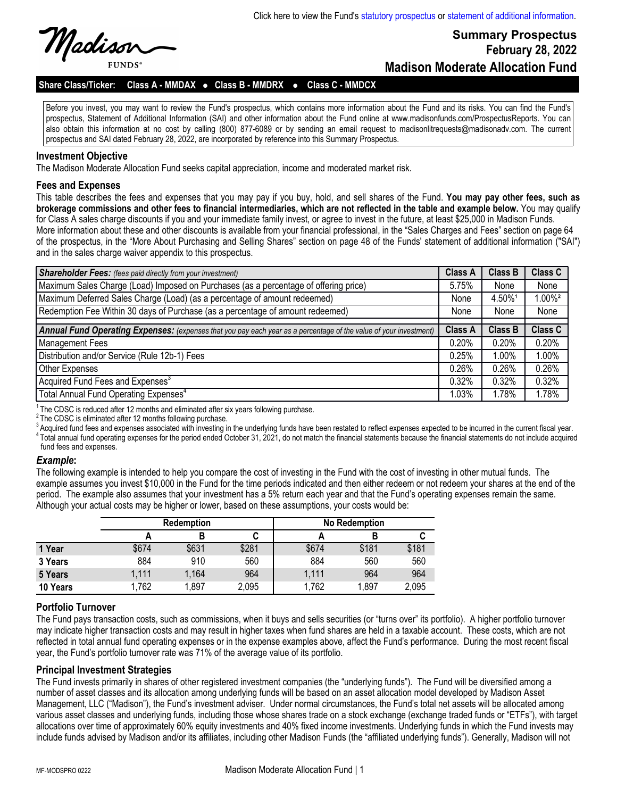

**FUNDS** 

**Summary Prospectus February 28, 2022 Madison Moderate Allocation Fund** 

#### **Share Class/Ticker: Class A - MMDAX** l **Class B - MMDRX** l **Class C - MMDCX**

Before you invest, you may want to review the Fund's prospectus, which contains more information about the Fund and its risks. You can find the Fund's prospectus, Statement of Additional Information (SAI) and other information about the Fund online at www.madisonfunds.com/ProspectusReports. You can also obtain this information at no cost by calling (800) 877-6089 or by sending an email request to madisonlitrequests@madisonadv.com. The current prospectus and SAI dated February 28, 2022, are incorporated by reference into this Summary Prospectus.

#### **Investment Objective**

The Madison Moderate Allocation Fund seeks capital appreciation, income and moderated market risk.

#### **Fees and Expenses**

This table describes the fees and expenses that you may pay if you buy, hold, and sell shares of the Fund. **You may pay other fees, such as brokerage commissions and other fees to financial intermediaries, which are not reflected in the table and example below.** You may qualify for Class A sales charge discounts if you and your immediate family invest, or agree to invest in the future, at least \$25,000 in Madison Funds. More information about these and other discounts is available from your financial professional, in the "Sales Charges and Fees" section on page 64 of the prospectus, in the "More About Purchasing and Selling Shares" section on page 48 of the Funds' statement of additional information ("SAI") and in the sales charge waiver appendix to this prospectus.

| <b>Shareholder Fees:</b> (fees paid directly from your investment)                                                | <b>Class A</b> | <b>Class B</b> | <b>Class C</b>        |
|-------------------------------------------------------------------------------------------------------------------|----------------|----------------|-----------------------|
| Maximum Sales Charge (Load) Imposed on Purchases (as a percentage of offering price)                              |                | None           | None                  |
| Maximum Deferred Sales Charge (Load) (as a percentage of amount redeemed)                                         |                | 4.50%1         | $1.00\%$ <sup>2</sup> |
| Redemption Fee Within 30 days of Purchase (as a percentage of amount redeemed)                                    |                | None           | None                  |
| Annual Fund Operating Expenses: (expenses that you pay each year as a percentage of the value of your investment) | <b>Class A</b> | <b>Class B</b> | <b>Class C</b>        |
| Management Fees                                                                                                   | 0.20%          | 0.20%          | 0.20%                 |
| Distribution and/or Service (Rule 12b-1) Fees                                                                     | $0.25\%$       | $.00\%$        | 1.00%                 |
| Other Expenses                                                                                                    | $0.26\%$       | $0.26\%$       | 0.26%                 |
| Acquired Fund Fees and Expenses <sup>3</sup>                                                                      | $0.32\%$       | 0.32%          | 0.32%                 |
| Total Annual Fund Operating Expenses <sup>4</sup>                                                                 | 1.03%          | .78%           | 1.78%                 |

 $1$ The CDSC is reduced after 12 months and eliminated after six years following purchase.

<sup>2</sup>The CDSC is eliminated after 12 months following purchase.

<sup>3</sup> Acquired fund fees and expenses associated with investing in the underlying funds have been restated to reflect expenses expected to be incurred in the current fiscal year.  $^4$  Total annual fund operating expenses for the period ended October 31, 2021, do not match the financial statements because the financial statements do not include acquired fund fees and expenses.

#### *Example***:**

The following example is intended to help you compare the cost of investing in the Fund with the cost of investing in other mutual funds. The example assumes you invest \$10,000 in the Fund for the time periods indicated and then either redeem or not redeem your shares at the end of the period. The example also assumes that your investment has a 5% return each year and that the Fund's operating expenses remain the same. Although your actual costs may be higher or lower, based on these assumptions, your costs would be:

|          | <b>Redemption</b> |       |       |       | <b>No Redemption</b> |       |  |
|----------|-------------------|-------|-------|-------|----------------------|-------|--|
|          |                   |       | C     |       |                      |       |  |
| 1 Year   | \$674             | \$631 | \$281 | \$674 | \$181                | \$181 |  |
| 3 Years  | 884               | 910   | 560   | 884   | 560                  | 560   |  |
| 5 Years  | 1,111             | 1,164 | 964   | 1,111 | 964                  | 964   |  |
| 10 Years | 1,762             | 1,897 | 2,095 | 1,762 | 1,897                | 2,095 |  |

## **Portfolio Turnover**

The Fund pays transaction costs, such as commissions, when it buys and sells securities (or "turns over" its portfolio). A higher portfolio turnover may indicate higher transaction costs and may result in higher taxes when fund shares are held in a taxable account. These costs, which are not reflected in total annual fund operating expenses or in the expense examples above, affect the Fund's performance. During the most recent fiscal year, the Fund's portfolio turnover rate was 71% of the average value of its portfolio.

## **Principal Investment Strategies**

The Fund invests primarily in shares of other registered investment companies (the "underlying funds"). The Fund will be diversified among a number of asset classes and its allocation among underlying funds will be based on an asset allocation model developed by Madison Asset Management, LLC ("Madison"), the Fund's investment adviser. Under normal circumstances, the Fund's total net assets will be allocated among various asset classes and underlying funds, including those whose shares trade on a stock exchange (exchange traded funds or "ETFs"), with target allocations over time of approximately 60% equity investments and 40% fixed income investments. Underlying funds in which the Fund invests may include funds advised by Madison and/or its affiliates, including other Madison Funds (the "affiliated underlying funds"). Generally, Madison will not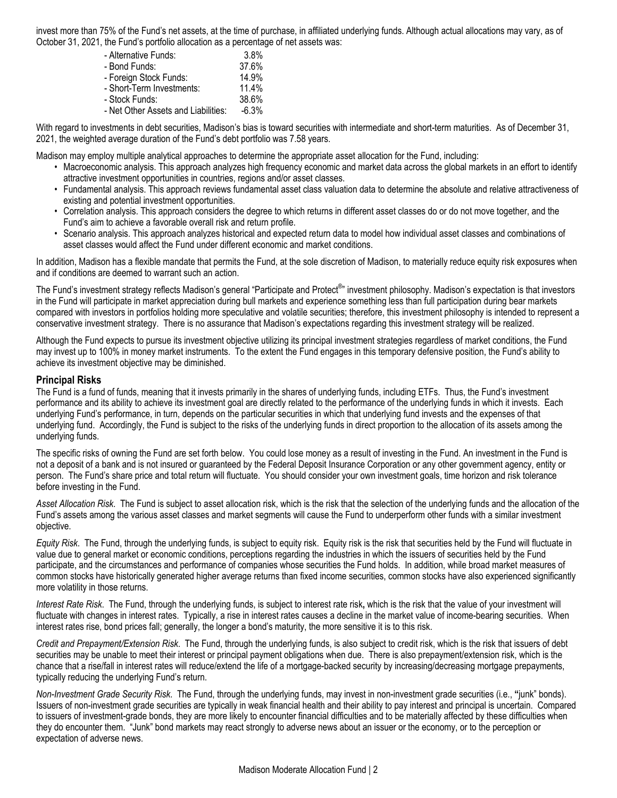invest more than 75% of the Fund's net assets, at the time of purchase, in affiliated underlying funds. Although actual allocations may vary, as of October 31, 2021, the Fund's portfolio allocation as a percentage of net assets was:

| - Alternative Funds:                | 3.8%    |
|-------------------------------------|---------|
| - Bond Funds:                       | 37.6%   |
| - Foreign Stock Funds:              | 14.9%   |
| - Short-Term Investments:           | 11.4%   |
| - Stock Funds:                      | 38.6%   |
| - Net Other Assets and Liabilities: | $-6.3%$ |

With regard to investments in debt securities, Madison's bias is toward securities with intermediate and short-term maturities. As of December 31, 2021, the weighted average duration of the Fund's debt portfolio was 7.58 years.

Madison may employ multiple analytical approaches to determine the appropriate asset allocation for the Fund, including:

- Macroeconomic analysis. This approach analyzes high frequency economic and market data across the global markets in an effort to identify attractive investment opportunities in countries, regions and/or asset classes.
- Fundamental analysis. This approach reviews fundamental asset class valuation data to determine the absolute and relative attractiveness of existing and potential investment opportunities.
- Correlation analysis. This approach considers the degree to which returns in different asset classes do or do not move together, and the Fund's aim to achieve a favorable overall risk and return profile.
- Scenario analysis. This approach analyzes historical and expected return data to model how individual asset classes and combinations of asset classes would affect the Fund under different economic and market conditions.

In addition, Madison has a flexible mandate that permits the Fund, at the sole discretion of Madison, to materially reduce equity risk exposures when and if conditions are deemed to warrant such an action.

The Fund's investment strategy reflects Madison's general "Participate and Protect<sup>®</sup>" investment philosophy. Madison's expectation is that investors in the Fund will participate in market appreciation during bull markets and experience something less than full participation during bear markets compared with investors in portfolios holding more speculative and volatile securities; therefore, this investment philosophy is intended to represent a conservative investment strategy. There is no assurance that Madison's expectations regarding this investment strategy will be realized.

Although the Fund expects to pursue its investment objective utilizing its principal investment strategies regardless of market conditions, the Fund may invest up to 100% in money market instruments. To the extent the Fund engages in this temporary defensive position, the Fund's ability to achieve its investment objective may be diminished.

# **Principal Risks**

The Fund is a fund of funds, meaning that it invests primarily in the shares of underlying funds, including ETFs. Thus, the Fund's investment performance and its ability to achieve its investment goal are directly related to the performance of the underlying funds in which it invests. Each underlying Fund's performance, in turn, depends on the particular securities in which that underlying fund invests and the expenses of that underlying fund. Accordingly, the Fund is subject to the risks of the underlying funds in direct proportion to the allocation of its assets among the underlying funds.

The specific risks of owning the Fund are set forth below. You could lose money as a result of investing in the Fund. An investment in the Fund is not a deposit of a bank and is not insured or guaranteed by the Federal Deposit Insurance Corporation or any other government agency, entity or person. The Fund's share price and total return will fluctuate. You should consider your own investment goals, time horizon and risk tolerance before investing in the Fund.

*Asset Allocation Risk*. The Fund is subject to asset allocation risk, which is the risk that the selection of the underlying funds and the allocation of the Fund's assets among the various asset classes and market segments will cause the Fund to underperform other funds with a similar investment objective.

*Equity Risk*. The Fund, through the underlying funds, is subject to equity risk. Equity risk is the risk that securities held by the Fund will fluctuate in value due to general market or economic conditions, perceptions regarding the industries in which the issuers of securities held by the Fund participate, and the circumstances and performance of companies whose securities the Fund holds. In addition, while broad market measures of common stocks have historically generated higher average returns than fixed income securities, common stocks have also experienced significantly more volatility in those returns.

*Interest Rate Risk*. The Fund, through the underlying funds, is subject to interest rate risk**,** which is the risk that the value of your investment will fluctuate with changes in interest rates. Typically, a rise in interest rates causes a decline in the market value of income-bearing securities. When interest rates rise, bond prices fall; generally, the longer a bond's maturity, the more sensitive it is to this risk.

*Credit and Prepayment/Extension Risk*. The Fund, through the underlying funds, is also subject to credit risk, which is the risk that issuers of debt securities may be unable to meet their interest or principal payment obligations when due. There is also prepayment/extension risk, which is the chance that a rise/fall in interest rates will reduce/extend the life of a mortgage-backed security by increasing/decreasing mortgage prepayments, typically reducing the underlying Fund's return.

*Non-Investment Grade Security Risk*. The Fund, through the underlying funds, may invest in non-investment grade securities (i.e., **"**junk" bonds). Issuers of non-investment grade securities are typically in weak financial health and their ability to pay interest and principal is uncertain. Compared to issuers of investment-grade bonds, they are more likely to encounter financial difficulties and to be materially affected by these difficulties when they do encounter them. "Junk" bond markets may react strongly to adverse news about an issuer or the economy, or to the perception or expectation of adverse news.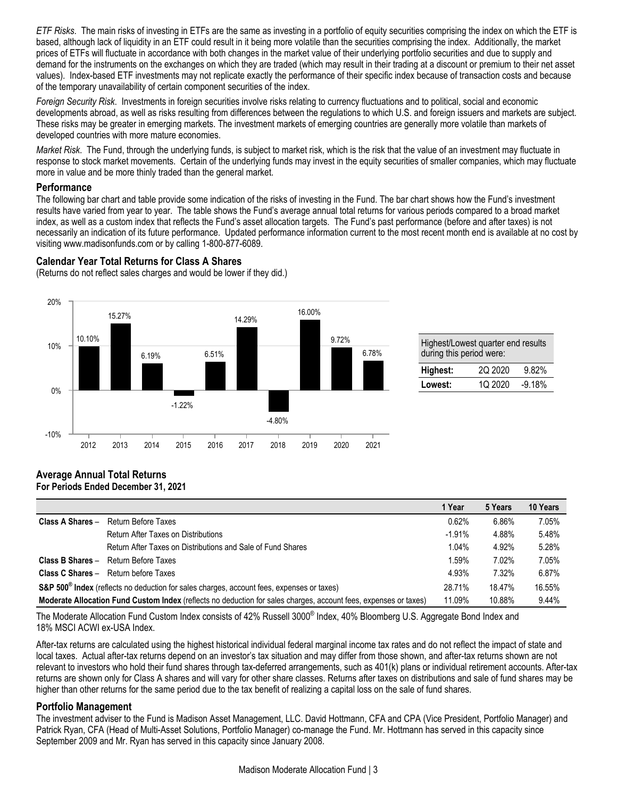*ETF Risks*. The main risks of investing in ETFs are the same as investing in a portfolio of equity securities comprising the index on which the ETF is based, although lack of liquidity in an ETF could result in it being more volatile than the securities comprising the index. Additionally, the market prices of ETFs will fluctuate in accordance with both changes in the market value of their underlying portfolio securities and due to supply and demand for the instruments on the exchanges on which they are traded (which may result in their trading at a discount or premium to their net asset values). Index-based ETF investments may not replicate exactly the performance of their specific index because of transaction costs and because of the temporary unavailability of certain component securities of the index.

*Foreign Security Risk*. Investments in foreign securities involve risks relating to currency fluctuations and to political, social and economic developments abroad, as well as risks resulting from differences between the regulations to which U.S. and foreign issuers and markets are subject. These risks may be greater in emerging markets. The investment markets of emerging countries are generally more volatile than markets of developed countries with more mature economies.

*Market Risk*. The Fund, through the underlying funds, is subject to market risk, which is the risk that the value of an investment may fluctuate in response to stock market movements. Certain of the underlying funds may invest in the equity securities of smaller companies, which may fluctuate more in value and be more thinly traded than the general market.

# **Performance**

The following bar chart and table provide some indication of the risks of investing in the Fund. The bar chart shows how the Fund's investment results have varied from year to year. The table shows the Fund's average annual total returns for various periods compared to a broad market index, as well as a custom index that reflects the Fund's asset allocation targets. The Fund's past performance (before and after taxes) is not necessarily an indication of its future performance. Updated performance information current to the most recent month end is available at no cost by visiting www.madisonfunds.com or by calling 1-800-877-6089.

# **Calendar Year Total Returns for Class A Shares**

(Returns do not reflect sales charges and would be lower if they did.)



| Highest/Lowest quarter end results<br>during this period were: |         |        |  |  |  |
|----------------------------------------------------------------|---------|--------|--|--|--|
| Highest:                                                       | 2Q 2020 | 9.82%  |  |  |  |
| <b>Lowest:</b>                                                 | 10 2020 | -9.18% |  |  |  |
|                                                                |         |        |  |  |  |

## **Average Annual Total Returns For Periods Ended December 31, 2021**

|                                                                                                                  |                                                             | 1 Year   | 5 Years | 10 Years |
|------------------------------------------------------------------------------------------------------------------|-------------------------------------------------------------|----------|---------|----------|
| Class A Shares -                                                                                                 | Return Before Taxes                                         | 0.62%    | 6.86%   | 7.05%    |
|                                                                                                                  | Return After Taxes on Distributions                         | $-1.91%$ | 4.88%   | 5.48%    |
|                                                                                                                  | Return After Taxes on Distributions and Sale of Fund Shares | 1.04%    | 4.92%   | 5.28%    |
| Class B Shares -                                                                                                 | Return Before Taxes                                         | 1.59%    | 7.02%   | 7.05%    |
| Class C Shares -                                                                                                 | Return before Taxes                                         | 4.93%    | 7.32%   | 6.87%    |
| S&P 500 <sup>®</sup> Index (reflects no deduction for sales charges, account fees, expenses or taxes)            |                                                             | 28.71%   | 18.47%  | 16.55%   |
| Moderate Allocation Fund Custom Index (reflects no deduction for sales charges, account fees, expenses or taxes) |                                                             | 11.09%   | 10.88%  | 9.44%    |

The Moderate Allocation Fund Custom Index consists of 42% Russell 3000<sup>®</sup> Index, 40% Bloomberg U.S. Aggregate Bond Index and 18% MSCI ACWI ex-USA Index.

After-tax returns are calculated using the highest historical individual federal marginal income tax rates and do not reflect the impact of state and local taxes. Actual after-tax returns depend on an investor's tax situation and may differ from those shown, and after-tax returns shown are not relevant to investors who hold their fund shares through tax-deferred arrangements, such as 401(k) plans or individual retirement accounts. After-tax returns are shown only for Class A shares and will vary for other share classes. Returns after taxes on distributions and sale of fund shares may be higher than other returns for the same period due to the tax benefit of realizing a capital loss on the sale of fund shares.

# **Portfolio Management**

The investment adviser to the Fund is Madison Asset Management, LLC. David Hottmann, CFA and CPA (Vice President, Portfolio Manager) and Patrick Ryan, CFA (Head of Multi-Asset Solutions, Portfolio Manager) co-manage the Fund. Mr. Hottmann has served in this capacity since September 2009 and Mr. Ryan has served in this capacity since January 2008.